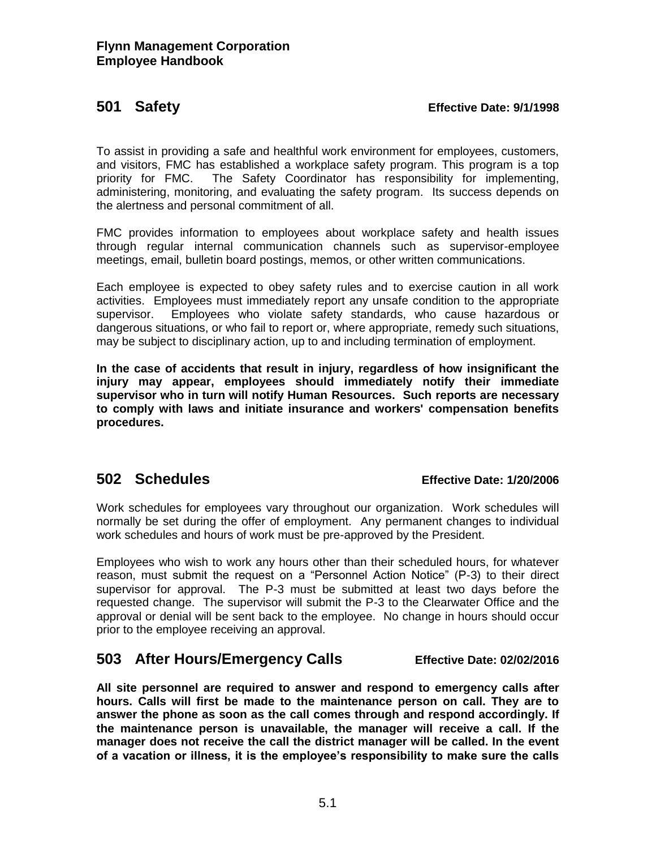### **501 Safety Effective Date: 9/1/1998**

To assist in providing a safe and healthful work environment for employees, customers, and visitors, FMC has established a workplace safety program. This program is a top priority for FMC. The Safety Coordinator has responsibility for implementing, administering, monitoring, and evaluating the safety program. Its success depends on the alertness and personal commitment of all.

FMC provides information to employees about workplace safety and health issues through regular internal communication channels such as supervisor-employee meetings, email, bulletin board postings, memos, or other written communications.

Each employee is expected to obey safety rules and to exercise caution in all work activities. Employees must immediately report any unsafe condition to the appropriate supervisor. Employees who violate safety standards, who cause hazardous or dangerous situations, or who fail to report or, where appropriate, remedy such situations, may be subject to disciplinary action, up to and including termination of employment.

**In the case of accidents that result in injury, regardless of how insignificant the injury may appear, employees should immediately notify their immediate supervisor who in turn will notify Human Resources. Such reports are necessary to comply with laws and initiate insurance and workers' compensation benefits procedures.**

## **502 Schedules Effective Date: 1/20/2006**

Work schedules for employees vary throughout our organization. Work schedules will normally be set during the offer of employment. Any permanent changes to individual work schedules and hours of work must be pre-approved by the President.

Employees who wish to work any hours other than their scheduled hours, for whatever reason, must submit the request on a "Personnel Action Notice" (P-3) to their direct supervisor for approval. The P-3 must be submitted at least two days before the requested change. The supervisor will submit the P-3 to the Clearwater Office and the approval or denial will be sent back to the employee. No change in hours should occur prior to the employee receiving an approval.

# **503 After Hours/Emergency Calls Effective Date: 02/02/2016**

**All site personnel are required to answer and respond to emergency calls after hours. Calls will first be made to the maintenance person on call. They are to answer the phone as soon as the call comes through and respond accordingly. If the maintenance person is unavailable, the manager will receive a call. If the manager does not receive the call the district manager will be called. In the event of a vacation or illness, it is the employee's responsibility to make sure the calls**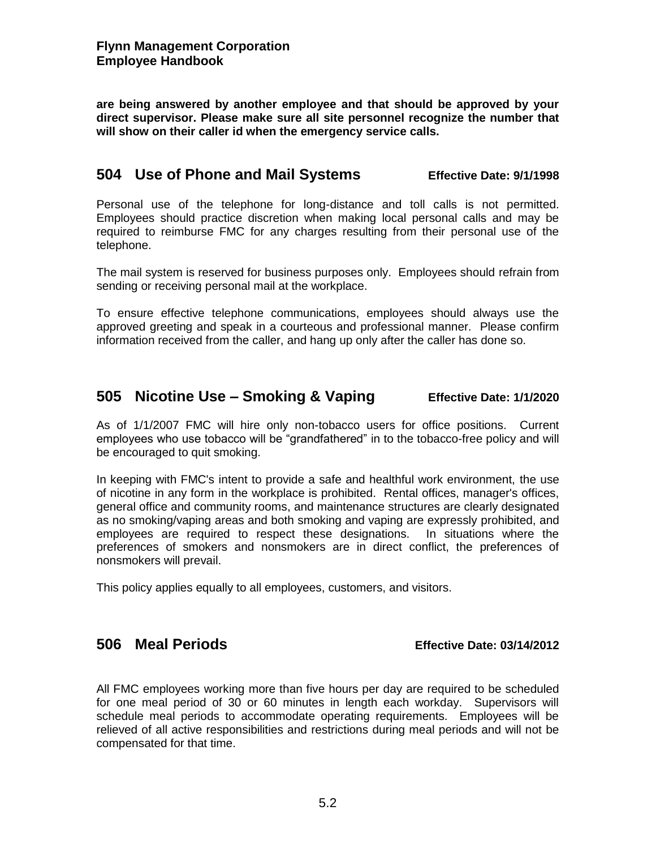**are being answered by another employee and that should be approved by your direct supervisor. Please make sure all site personnel recognize the number that will show on their caller id when the emergency service calls.** 

## **504 Use of Phone and Mail Systems Effective Date: 9/1/1998**

Personal use of the telephone for long-distance and toll calls is not permitted. Employees should practice discretion when making local personal calls and may be required to reimburse FMC for any charges resulting from their personal use of the telephone.

The mail system is reserved for business purposes only. Employees should refrain from sending or receiving personal mail at the workplace.

To ensure effective telephone communications, employees should always use the approved greeting and speak in a courteous and professional manner. Please confirm information received from the caller, and hang up only after the caller has done so.

## **505 Nicotine Use – Smoking & Vaping Effective Date: 1/1/2020**

As of 1/1/2007 FMC will hire only non-tobacco users for office positions. Current employees who use tobacco will be "grandfathered" in to the tobacco-free policy and will be encouraged to quit smoking.

In keeping with FMC's intent to provide a safe and healthful work environment, the use of nicotine in any form in the workplace is prohibited. Rental offices, manager's offices, general office and community rooms, and maintenance structures are clearly designated as no smoking/vaping areas and both smoking and vaping are expressly prohibited, and employees are required to respect these designations. In situations where the preferences of smokers and nonsmokers are in direct conflict, the preferences of nonsmokers will prevail.

This policy applies equally to all employees, customers, and visitors.

## **506 Meal Periods Effective Date: 03/14/2012**

All FMC employees working more than five hours per day are required to be scheduled for one meal period of 30 or 60 minutes in length each workday. Supervisors will schedule meal periods to accommodate operating requirements. Employees will be relieved of all active responsibilities and restrictions during meal periods and will not be compensated for that time.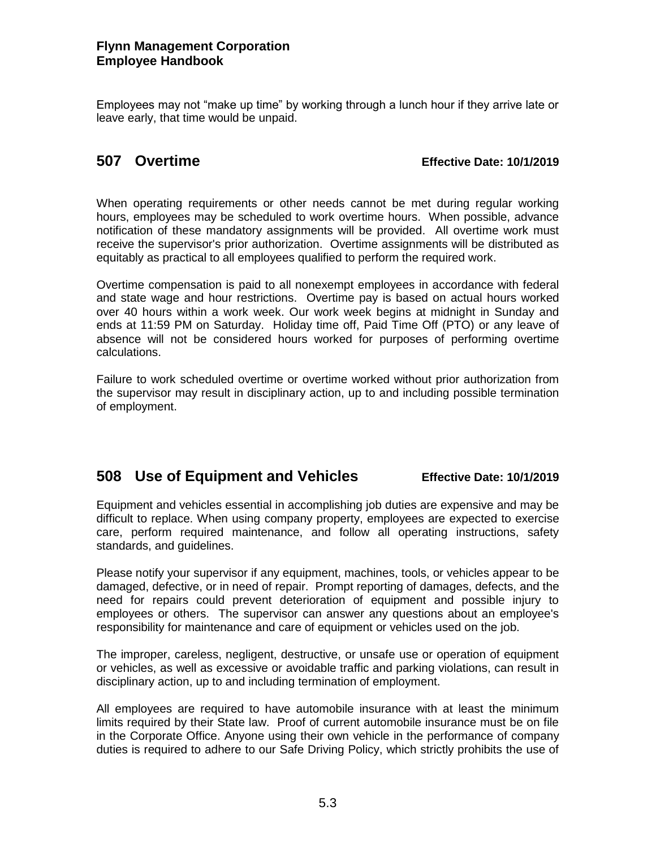Employees may not "make up time" by working through a lunch hour if they arrive late or leave early, that time would be unpaid.

## **507 Overtime Effective Date: 10/1/2019**

When operating requirements or other needs cannot be met during regular working hours, employees may be scheduled to work overtime hours. When possible, advance notification of these mandatory assignments will be provided. All overtime work must receive the supervisor's prior authorization. Overtime assignments will be distributed as equitably as practical to all employees qualified to perform the required work.

Overtime compensation is paid to all nonexempt employees in accordance with federal and state wage and hour restrictions. Overtime pay is based on actual hours worked over 40 hours within a work week. Our work week begins at midnight in Sunday and ends at 11:59 PM on Saturday. Holiday time off, Paid Time Off (PTO) or any leave of absence will not be considered hours worked for purposes of performing overtime calculations.

Failure to work scheduled overtime or overtime worked without prior authorization from the supervisor may result in disciplinary action, up to and including possible termination of employment.

## **508 Use of Equipment and Vehicles Effective Date: 10/1/2019**

Equipment and vehicles essential in accomplishing job duties are expensive and may be difficult to replace. When using company property, employees are expected to exercise care, perform required maintenance, and follow all operating instructions, safety standards, and guidelines.

Please notify your supervisor if any equipment, machines, tools, or vehicles appear to be damaged, defective, or in need of repair. Prompt reporting of damages, defects, and the need for repairs could prevent deterioration of equipment and possible injury to employees or others. The supervisor can answer any questions about an employee's responsibility for maintenance and care of equipment or vehicles used on the job.

The improper, careless, negligent, destructive, or unsafe use or operation of equipment or vehicles, as well as excessive or avoidable traffic and parking violations, can result in disciplinary action, up to and including termination of employment.

All employees are required to have automobile insurance with at least the minimum limits required by their State law. Proof of current automobile insurance must be on file in the Corporate Office. Anyone using their own vehicle in the performance of company duties is required to adhere to our Safe Driving Policy, which strictly prohibits the use of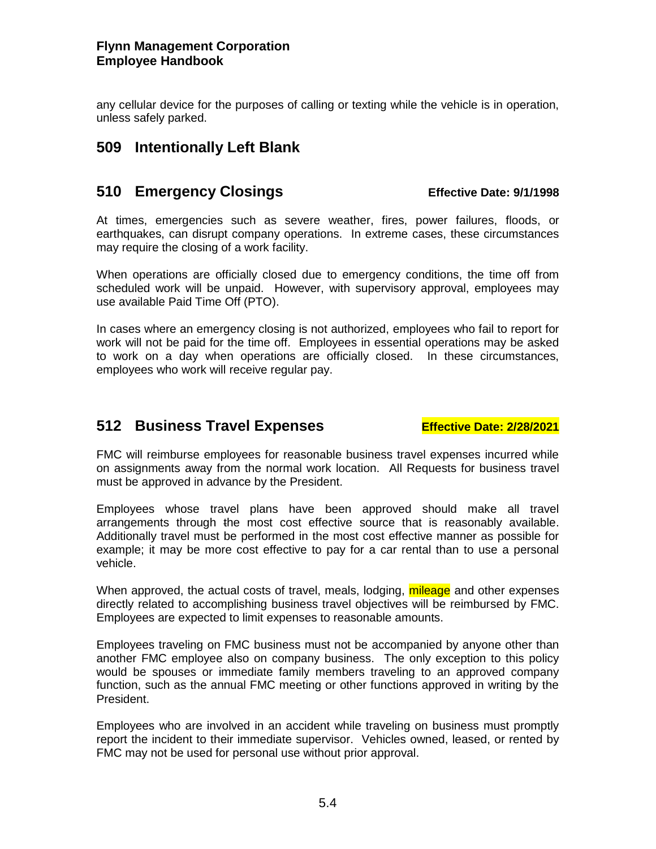any cellular device for the purposes of calling or texting while the vehicle is in operation, unless safely parked.

# **509 Intentionally Left Blank**

## **510 Emergency Closings Effective Date: 9/1/1998**

At times, emergencies such as severe weather, fires, power failures, floods, or earthquakes, can disrupt company operations. In extreme cases, these circumstances may require the closing of a work facility.

When operations are officially closed due to emergency conditions, the time off from scheduled work will be unpaid. However, with supervisory approval, employees may use available Paid Time Off (PTO).

In cases where an emergency closing is not authorized, employees who fail to report for work will not be paid for the time off. Employees in essential operations may be asked to work on a day when operations are officially closed. In these circumstances, employees who work will receive regular pay.

# **512 Business Travel Expenses Effective Date: 2/28/2021**

FMC will reimburse employees for reasonable business travel expenses incurred while on assignments away from the normal work location. All Requests for business travel must be approved in advance by the President.

Employees whose travel plans have been approved should make all travel arrangements through the most cost effective source that is reasonably available. Additionally travel must be performed in the most cost effective manner as possible for example; it may be more cost effective to pay for a car rental than to use a personal vehicle.

When approved, the actual costs of travel, meals, lodging, mileage and other expenses directly related to accomplishing business travel objectives will be reimbursed by FMC. Employees are expected to limit expenses to reasonable amounts.

Employees traveling on FMC business must not be accompanied by anyone other than another FMC employee also on company business. The only exception to this policy would be spouses or immediate family members traveling to an approved company function, such as the annual FMC meeting or other functions approved in writing by the President.

Employees who are involved in an accident while traveling on business must promptly report the incident to their immediate supervisor. Vehicles owned, leased, or rented by FMC may not be used for personal use without prior approval.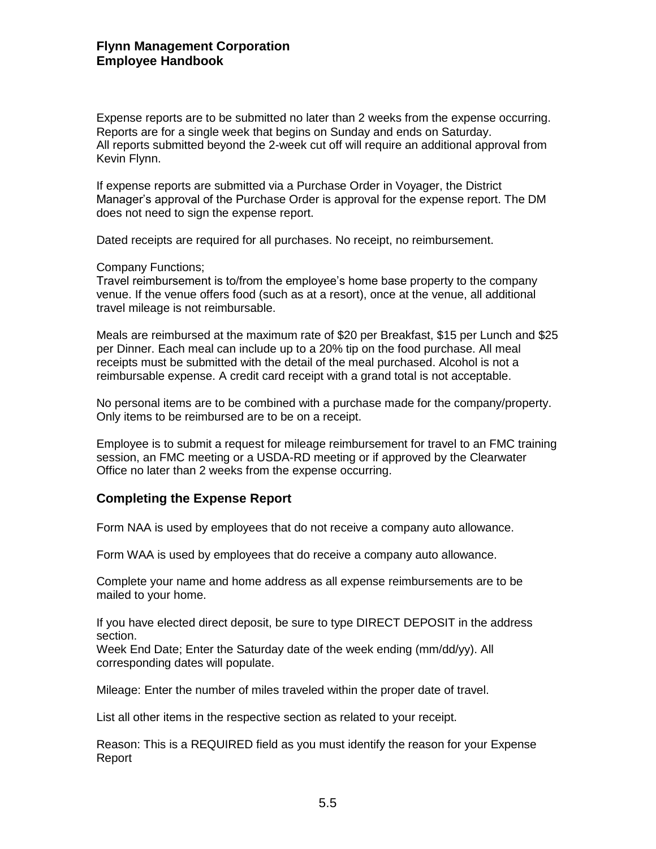Expense reports are to be submitted no later than 2 weeks from the expense occurring. Reports are for a single week that begins on Sunday and ends on Saturday. All reports submitted beyond the 2-week cut off will require an additional approval from Kevin Flynn.

If expense reports are submitted via a Purchase Order in Voyager, the District Manager's approval of the Purchase Order is approval for the expense report. The DM does not need to sign the expense report.

Dated receipts are required for all purchases. No receipt, no reimbursement.

### Company Functions;

Travel reimbursement is to/from the employee's home base property to the company venue. If the venue offers food (such as at a resort), once at the venue, all additional travel mileage is not reimbursable.

Meals are reimbursed at the maximum rate of \$20 per Breakfast, \$15 per Lunch and \$25 per Dinner. Each meal can include up to a 20% tip on the food purchase. All meal receipts must be submitted with the detail of the meal purchased. Alcohol is not a reimbursable expense. A credit card receipt with a grand total is not acceptable.

No personal items are to be combined with a purchase made for the company/property. Only items to be reimbursed are to be on a receipt.

Employee is to submit a request for mileage reimbursement for travel to an FMC training session, an FMC meeting or a USDA-RD meeting or if approved by the Clearwater Office no later than 2 weeks from the expense occurring.

### **Completing the Expense Report**

Form NAA is used by employees that do not receive a company auto allowance.

Form WAA is used by employees that do receive a company auto allowance.

Complete your name and home address as all expense reimbursements are to be mailed to your home.

If you have elected direct deposit, be sure to type DIRECT DEPOSIT in the address section.

Week End Date; Enter the Saturday date of the week ending (mm/dd/yy). All corresponding dates will populate.

Mileage: Enter the number of miles traveled within the proper date of travel.

List all other items in the respective section as related to your receipt.

Reason: This is a REQUIRED field as you must identify the reason for your Expense Report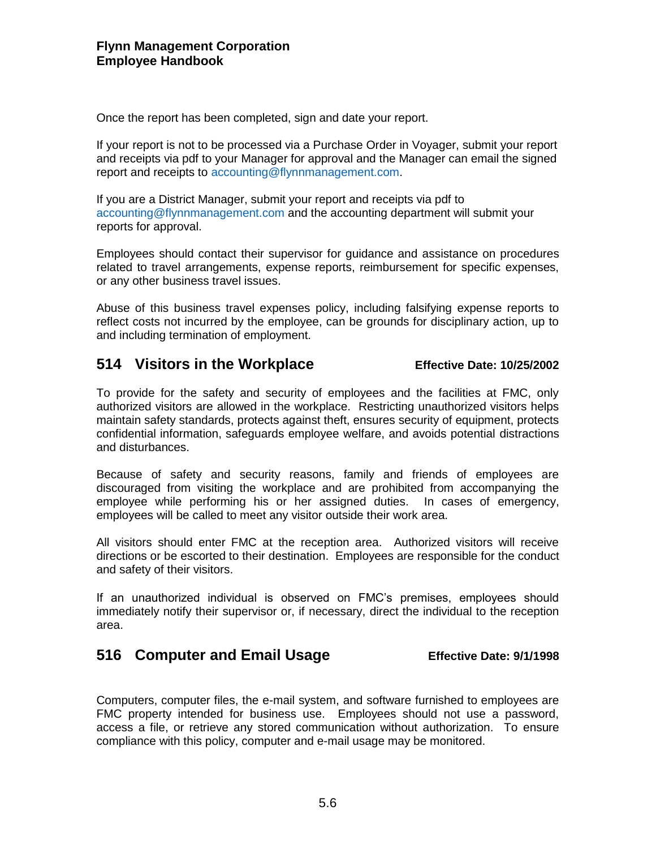Once the report has been completed, sign and date your report.

If your report is not to be processed via a Purchase Order in Voyager, submit your report and receipts via pdf to your Manager for approval and the Manager can email the signed report and receipts to accounting@flynnmanagement.com.

If you are a District Manager, submit your report and receipts via pdf to accounting@flynnmanagement.com and the accounting department will submit your reports for approval.

Employees should contact their supervisor for guidance and assistance on procedures related to travel arrangements, expense reports, reimbursement for specific expenses, or any other business travel issues.

Abuse of this business travel expenses policy, including falsifying expense reports to reflect costs not incurred by the employee, can be grounds for disciplinary action, up to and including termination of employment.

## **514 Visitors in the Workplace Effective Date: 10/25/2002**

To provide for the safety and security of employees and the facilities at FMC, only authorized visitors are allowed in the workplace. Restricting unauthorized visitors helps maintain safety standards, protects against theft, ensures security of equipment, protects confidential information, safeguards employee welfare, and avoids potential distractions and disturbances.

Because of safety and security reasons, family and friends of employees are discouraged from visiting the workplace and are prohibited from accompanying the employee while performing his or her assigned duties. In cases of emergency, employees will be called to meet any visitor outside their work area.

All visitors should enter FMC at the reception area. Authorized visitors will receive directions or be escorted to their destination. Employees are responsible for the conduct and safety of their visitors.

If an unauthorized individual is observed on FMC's premises, employees should immediately notify their supervisor or, if necessary, direct the individual to the reception area.

## **516 Computer and Email Usage Effective Date: 9/1/1998**

Computers, computer files, the e-mail system, and software furnished to employees are FMC property intended for business use. Employees should not use a password, access a file, or retrieve any stored communication without authorization. To ensure compliance with this policy, computer and e-mail usage may be monitored.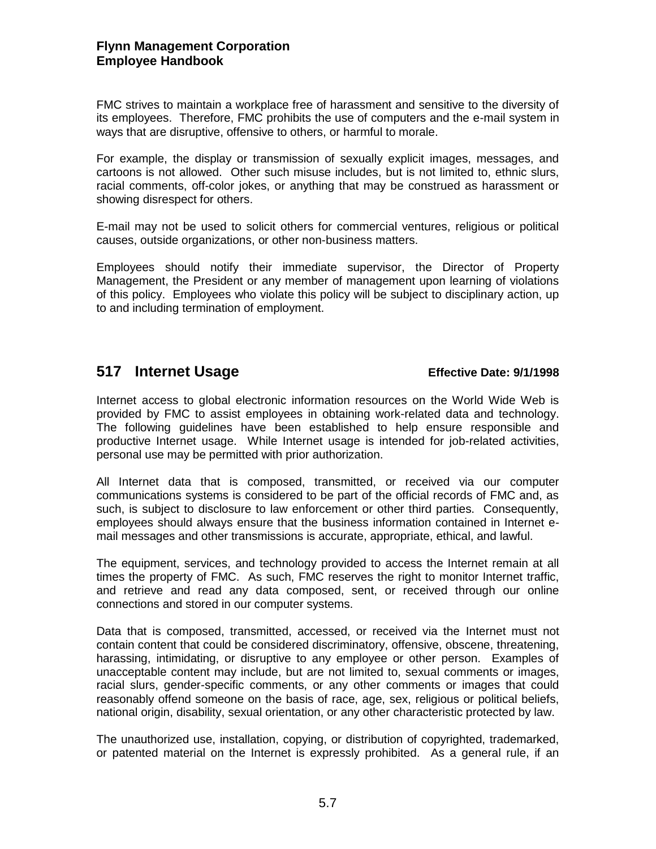FMC strives to maintain a workplace free of harassment and sensitive to the diversity of its employees. Therefore, FMC prohibits the use of computers and the e-mail system in ways that are disruptive, offensive to others, or harmful to morale.

For example, the display or transmission of sexually explicit images, messages, and cartoons is not allowed. Other such misuse includes, but is not limited to, ethnic slurs, racial comments, off-color jokes, or anything that may be construed as harassment or showing disrespect for others.

E-mail may not be used to solicit others for commercial ventures, religious or political causes, outside organizations, or other non-business matters.

Employees should notify their immediate supervisor, the Director of Property Management, the President or any member of management upon learning of violations of this policy. Employees who violate this policy will be subject to disciplinary action, up to and including termination of employment.

## **517 Internet Usage Effective Date: 9/1/1998**

Internet access to global electronic information resources on the World Wide Web is provided by FMC to assist employees in obtaining work-related data and technology. The following guidelines have been established to help ensure responsible and productive Internet usage. While Internet usage is intended for job-related activities, personal use may be permitted with prior authorization.

All Internet data that is composed, transmitted, or received via our computer communications systems is considered to be part of the official records of FMC and, as such, is subject to disclosure to law enforcement or other third parties. Consequently, employees should always ensure that the business information contained in Internet email messages and other transmissions is accurate, appropriate, ethical, and lawful.

The equipment, services, and technology provided to access the Internet remain at all times the property of FMC. As such, FMC reserves the right to monitor Internet traffic, and retrieve and read any data composed, sent, or received through our online connections and stored in our computer systems.

Data that is composed, transmitted, accessed, or received via the Internet must not contain content that could be considered discriminatory, offensive, obscene, threatening, harassing, intimidating, or disruptive to any employee or other person. Examples of unacceptable content may include, but are not limited to, sexual comments or images, racial slurs, gender-specific comments, or any other comments or images that could reasonably offend someone on the basis of race, age, sex, religious or political beliefs, national origin, disability, sexual orientation, or any other characteristic protected by law.

The unauthorized use, installation, copying, or distribution of copyrighted, trademarked, or patented material on the Internet is expressly prohibited. As a general rule, if an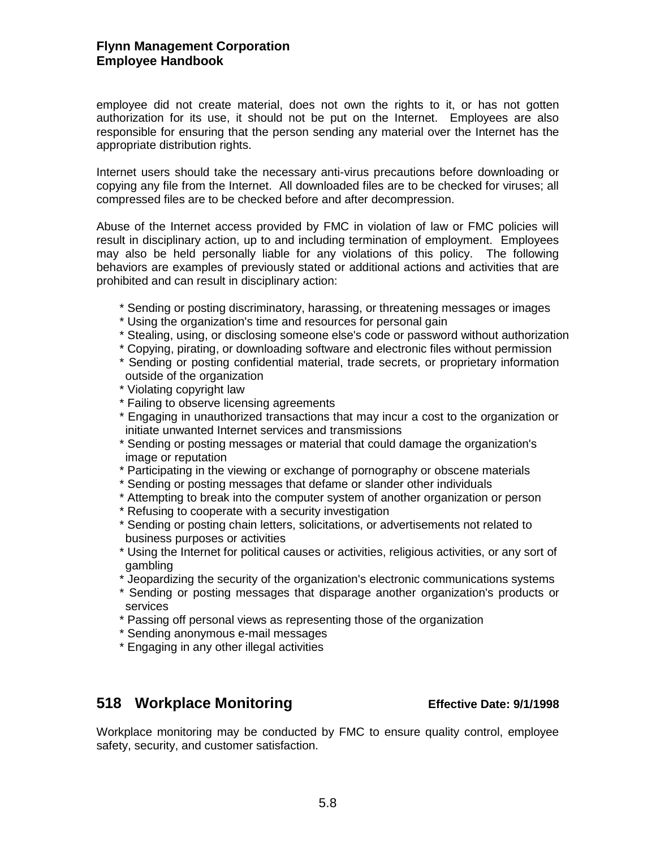employee did not create material, does not own the rights to it, or has not gotten authorization for its use, it should not be put on the Internet. Employees are also responsible for ensuring that the person sending any material over the Internet has the appropriate distribution rights.

Internet users should take the necessary anti-virus precautions before downloading or copying any file from the Internet. All downloaded files are to be checked for viruses; all compressed files are to be checked before and after decompression.

Abuse of the Internet access provided by FMC in violation of law or FMC policies will result in disciplinary action, up to and including termination of employment. Employees may also be held personally liable for any violations of this policy. The following behaviors are examples of previously stated or additional actions and activities that are prohibited and can result in disciplinary action:

- \* Sending or posting discriminatory, harassing, or threatening messages or images
- \* Using the organization's time and resources for personal gain
- \* Stealing, using, or disclosing someone else's code or password without authorization
- \* Copying, pirating, or downloading software and electronic files without permission
- \* Sending or posting confidential material, trade secrets, or proprietary information outside of the organization
- \* Violating copyright law
- \* Failing to observe licensing agreements
- \* Engaging in unauthorized transactions that may incur a cost to the organization or initiate unwanted Internet services and transmissions
- \* Sending or posting messages or material that could damage the organization's image or reputation
- \* Participating in the viewing or exchange of pornography or obscene materials
- \* Sending or posting messages that defame or slander other individuals
- \* Attempting to break into the computer system of another organization or person
- \* Refusing to cooperate with a security investigation
- \* Sending or posting chain letters, solicitations, or advertisements not related to business purposes or activities
- \* Using the Internet for political causes or activities, religious activities, or any sort of gambling
- \* Jeopardizing the security of the organization's electronic communications systems
- \* Sending or posting messages that disparage another organization's products or services
- \* Passing off personal views as representing those of the organization
- \* Sending anonymous e-mail messages
- \* Engaging in any other illegal activities

# **518 Workplace Monitoring Effective Date: 9/1/1998**

Workplace monitoring may be conducted by FMC to ensure quality control, employee safety, security, and customer satisfaction.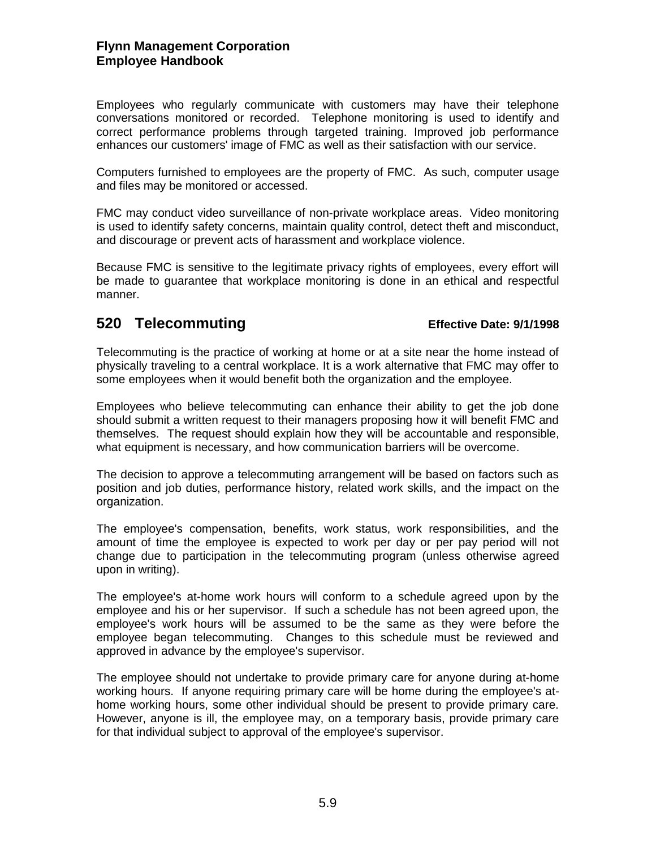Employees who regularly communicate with customers may have their telephone conversations monitored or recorded. Telephone monitoring is used to identify and correct performance problems through targeted training. Improved job performance enhances our customers' image of FMC as well as their satisfaction with our service.

Computers furnished to employees are the property of FMC. As such, computer usage and files may be monitored or accessed.

FMC may conduct video surveillance of non-private workplace areas. Video monitoring is used to identify safety concerns, maintain quality control, detect theft and misconduct, and discourage or prevent acts of harassment and workplace violence.

Because FMC is sensitive to the legitimate privacy rights of employees, every effort will be made to guarantee that workplace monitoring is done in an ethical and respectful manner.

## **520 Telecommuting Effective Date: 9/1/1998**

Telecommuting is the practice of working at home or at a site near the home instead of physically traveling to a central workplace. It is a work alternative that FMC may offer to some employees when it would benefit both the organization and the employee.

Employees who believe telecommuting can enhance their ability to get the job done should submit a written request to their managers proposing how it will benefit FMC and themselves. The request should explain how they will be accountable and responsible, what equipment is necessary, and how communication barriers will be overcome.

The decision to approve a telecommuting arrangement will be based on factors such as position and job duties, performance history, related work skills, and the impact on the organization.

The employee's compensation, benefits, work status, work responsibilities, and the amount of time the employee is expected to work per day or per pay period will not change due to participation in the telecommuting program (unless otherwise agreed upon in writing).

The employee's at-home work hours will conform to a schedule agreed upon by the employee and his or her supervisor. If such a schedule has not been agreed upon, the employee's work hours will be assumed to be the same as they were before the employee began telecommuting. Changes to this schedule must be reviewed and approved in advance by the employee's supervisor.

The employee should not undertake to provide primary care for anyone during at-home working hours. If anyone requiring primary care will be home during the employee's athome working hours, some other individual should be present to provide primary care. However, anyone is ill, the employee may, on a temporary basis, provide primary care for that individual subject to approval of the employee's supervisor.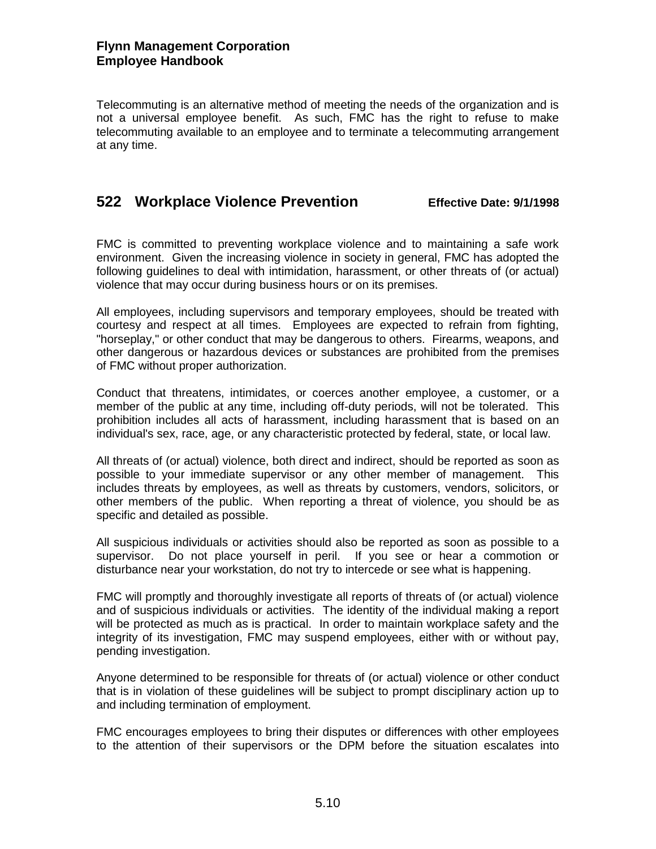Telecommuting is an alternative method of meeting the needs of the organization and is not a universal employee benefit. As such, FMC has the right to refuse to make telecommuting available to an employee and to terminate a telecommuting arrangement at any time.

# **522 Workplace Violence Prevention Effective Date: 9/1/1998**

FMC is committed to preventing workplace violence and to maintaining a safe work environment. Given the increasing violence in society in general, FMC has adopted the following guidelines to deal with intimidation, harassment, or other threats of (or actual) violence that may occur during business hours or on its premises.

All employees, including supervisors and temporary employees, should be treated with courtesy and respect at all times. Employees are expected to refrain from fighting, "horseplay," or other conduct that may be dangerous to others. Firearms, weapons, and other dangerous or hazardous devices or substances are prohibited from the premises of FMC without proper authorization.

Conduct that threatens, intimidates, or coerces another employee, a customer, or a member of the public at any time, including off-duty periods, will not be tolerated. This prohibition includes all acts of harassment, including harassment that is based on an individual's sex, race, age, or any characteristic protected by federal, state, or local law.

All threats of (or actual) violence, both direct and indirect, should be reported as soon as possible to your immediate supervisor or any other member of management. This includes threats by employees, as well as threats by customers, vendors, solicitors, or other members of the public. When reporting a threat of violence, you should be as specific and detailed as possible.

All suspicious individuals or activities should also be reported as soon as possible to a supervisor. Do not place yourself in peril. If you see or hear a commotion or disturbance near your workstation, do not try to intercede or see what is happening.

FMC will promptly and thoroughly investigate all reports of threats of (or actual) violence and of suspicious individuals or activities. The identity of the individual making a report will be protected as much as is practical. In order to maintain workplace safety and the integrity of its investigation, FMC may suspend employees, either with or without pay, pending investigation.

Anyone determined to be responsible for threats of (or actual) violence or other conduct that is in violation of these guidelines will be subject to prompt disciplinary action up to and including termination of employment.

FMC encourages employees to bring their disputes or differences with other employees to the attention of their supervisors or the DPM before the situation escalates into